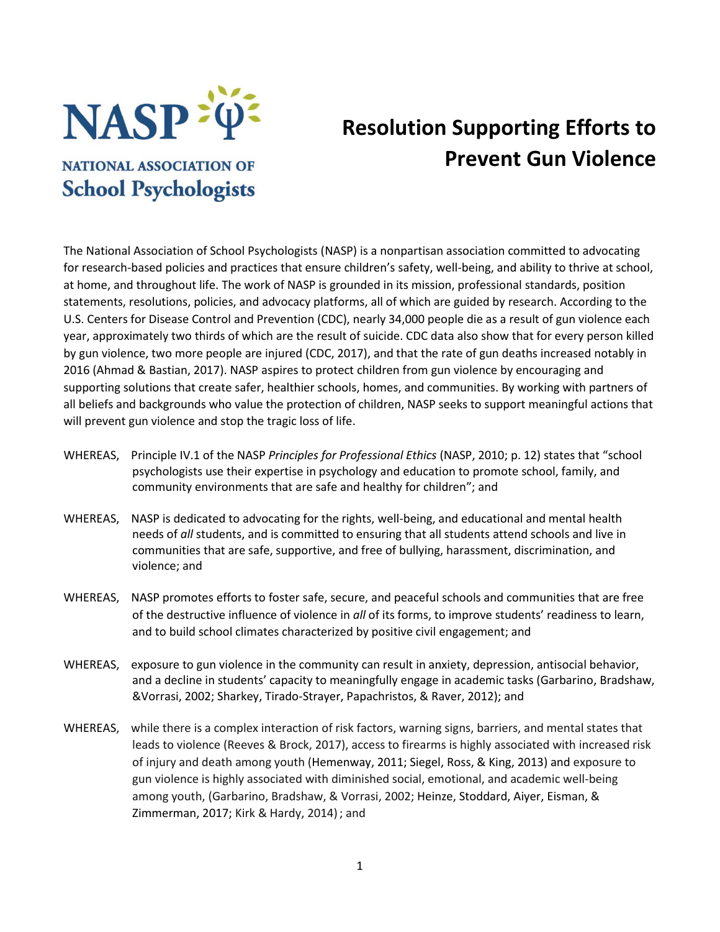

## **Resolution Supporting Efforts to Prevent Gun Violence**

## **NATIONAL ASSOCIATION OF School Psychologists**

The National Association of School Psychologists (NASP) is a nonpartisan association committed to advocating for research-based policies and practices that ensure children's safety, well-being, and ability to thrive at school, at home, and throughout life. The work of NASP is grounded in its mission, professional standards, position statements, resolutions, policies, and advocacy platforms, all of which are guided by research. According to the U.S. Centers for Disease Control and Prevention (CDC), nearly 34,000 people die as a result of gun violence each year, approximately two thirds of which are the result of suicide. CDC data also show that for every person killed by gun violence, two more people are injured (CDC, 2017), and that the rate of gun deaths increased notably in 2016 (Ahmad & Bastian, 2017). NASP aspires to protect children from gun violence by encouraging and supporting solutions that create safer, healthier schools, homes, and communities. By working with partners of all beliefs and backgrounds who value the protection of children, NASP seeks to support meaningful actions that will prevent gun violence and stop the tragic loss of life.

- WHEREAS, Principle IV.1 of the NASP *Principles for Professional Ethics* (NASP, 2010; p. 12) states that "school psychologists use their expertise in psychology and education to promote school, family, and community environments that are safe and healthy for children"; and
- WHEREAS, NASP is dedicated to advocating for the rights, well-being, and educational and mental health needs of *all* students, and is committed to ensuring that all students attend schools and live in communities that are safe, supportive, and free of bullying, harassment, discrimination, and violence; and
- WHEREAS, NASP promotes efforts to foster safe, secure, and peaceful schools and communities that are free of the destructive influence of violence in *all* of its forms, to improve students' readiness to learn, and to build school climates characterized by positive civil engagement; and
- WHEREAS, exposure to gun violence in the community can result in anxiety, depression, antisocial behavior, and a decline in students' capacity to meaningfully engage in academic tasks (Garbarino, Bradshaw, &Vorrasi, 2002; Sharkey, Tirado-Strayer, Papachristos, & Raver, 2012); and
- WHEREAS, while there is a complex interaction of risk factors, warning signs, barriers, and mental states that leads to violence (Reeves & Brock, 2017), access to firearms is highly associated with increased risk of injury and death among youth (Hemenway, 2011; Siegel, Ross, & King, 2013) and exposure to gun violence is highly associated with diminished social, emotional, and academic well-being among youth, (Garbarino, Bradshaw, & Vorrasi, 2002; Heinze, Stoddard, Aiyer, Eisman, & Zimmerman, 2017; Kirk & Hardy, 2014); and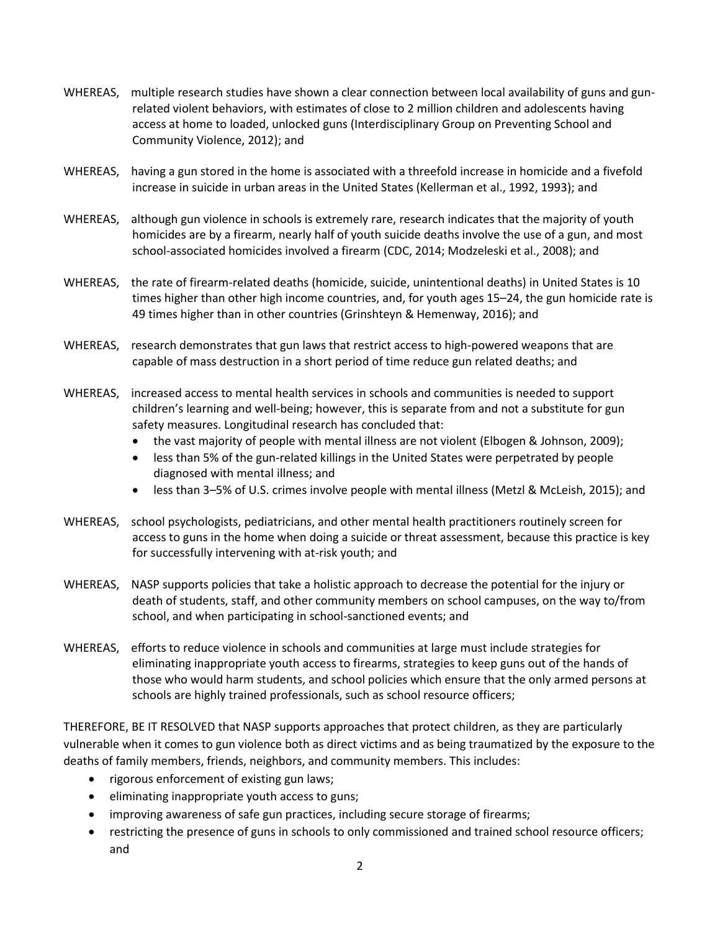- WHEREAS, multiple research studies have shown a clear connection between local availability of guns and gunrelated violent behaviors, with estimates of close to 2 million children and adolescents having access at home to loaded, unlocked guns (Interdisciplinary Group on Preventing School and Community Violence, 2012); and
- WHEREAS, having a gun stored in the home is associated with a threefold increase in homicide and a fivefold increase in suicide in urban areas in the United States (Kellerman et al., 1992, 1993); and
- WHEREAS, although gun violence in schools is extremely rare, research indicates that the majority of youth homicides are by a firearm, nearly half of youth suicide deaths involve the use of a gun, and most school-associated homicides involved a firearm (CDC, 2014; Modzeleski et al., 2008); and
- WHEREAS, the rate of firearm-related deaths (homicide, suicide, unintentional deaths) in United States is 10 times higher than other high income countries, and, for youth ages 15–24, the gun homicide rate is 49 times higher than in other countries (Grinshteyn & Hemenway, 2016); and
- WHEREAS, research demonstrates that gun laws that restrict access to high-powered weapons that are capable of mass destruction in a short period of time reduce gun related deaths; and
- WHEREAS, increased access to mental health services in schools and communities is needed to support children's learning and well-being; however, this is separate from and not a substitute for gun safety measures. Longitudinal research has concluded that:
	- the vast majority of people with mental illness are not violent (Elbogen & Johnson, 2009);
	- less than 5% of the gun-related killings in the United States were perpetrated by people diagnosed with mental illness; and
	- less than 3–5% of U.S. crimes involve people with mental illness (Metzl & McLeish, 2015); and
- WHEREAS, school psychologists, pediatricians, and other mental health practitioners routinely screen for access to guns in the home when doing a suicide or threat assessment, because this practice is key for successfully intervening with at-risk youth; and
- WHEREAS, NASP supports policies that take a holistic approach to decrease the potential for the injury or death of students, staff, and other community members on school campuses, on the way to/from school, and when participating in school-sanctioned events; and
- WHEREAS, efforts to reduce violence in schools and communities at large must include strategies for eliminating inappropriate youth access to firearms, strategies to keep guns out of the hands of those who would harm students, and school policies which ensure that the only armed persons at schools are highly trained professionals, such as school resource officers;

THEREFORE, BE IT RESOLVED that NASP supports approaches that protect children, as they are particularly vulnerable when it comes to gun violence both as direct victims and as being traumatized by the exposure to the deaths of family members, friends, neighbors, and community members. This includes:

- rigorous enforcement of existing gun laws;
- eliminating inappropriate youth access to guns;
- improving awareness of safe gun practices, including secure storage of firearms;
- restricting the presence of guns in schools to only commissioned and trained school resource officers; and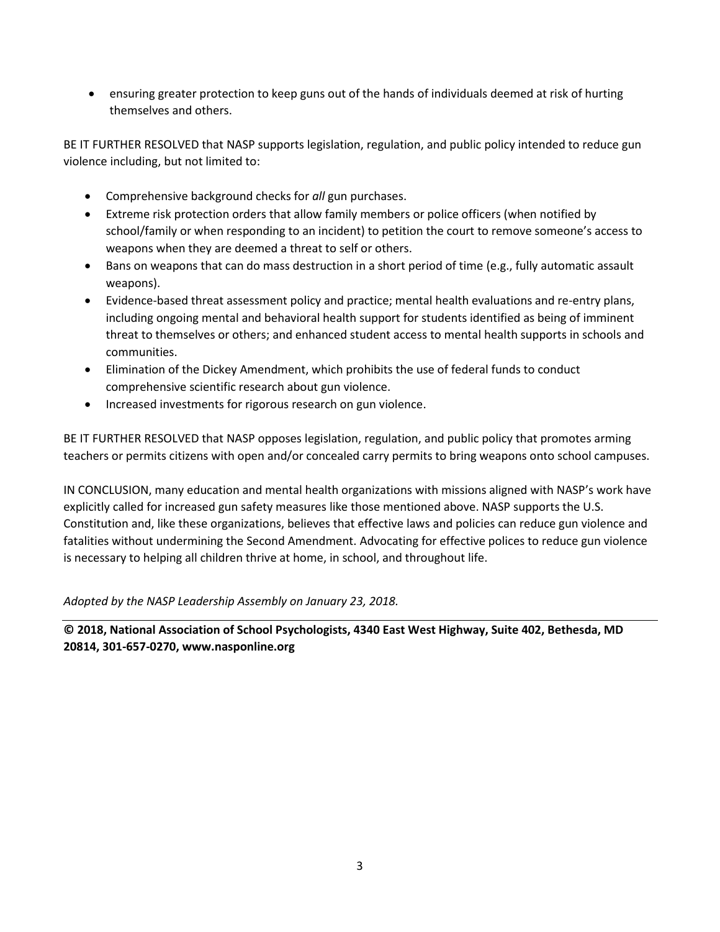ensuring greater protection to keep guns out of the hands of individuals deemed at risk of hurting themselves and others.

BE IT FURTHER RESOLVED that NASP supports legislation, regulation, and public policy intended to reduce gun violence including, but not limited to:

- Comprehensive background checks for *all* gun purchases.
- Extreme risk protection orders that allow family members or police officers (when notified by school/family or when responding to an incident) to petition the court to remove someone's access to weapons when they are deemed a threat to self or others.
- Bans on weapons that can do mass destruction in a short period of time (e.g., fully automatic assault weapons).
- Evidence-based threat assessment policy and practice; mental health evaluations and re-entry plans, including ongoing mental and behavioral health support for students identified as being of imminent threat to themselves or others; and enhanced student access to mental health supports in schools and communities.
- Elimination of the Dickey Amendment, which prohibits the use of federal funds to conduct comprehensive scientific research about gun violence.
- Increased investments for rigorous research on gun violence.

BE IT FURTHER RESOLVED that NASP opposes legislation, regulation, and public policy that promotes arming teachers or permits citizens with open and/or concealed carry permits to bring weapons onto school campuses.

IN CONCLUSION, many education and mental health organizations with missions aligned with NASP's work have explicitly called for increased gun safety measures like those mentioned above. NASP supports the U.S. Constitution and, like these organizations, believes that effective laws and policies can reduce gun violence and fatalities without undermining the Second Amendment. Advocating for effective polices to reduce gun violence is necessary to helping all children thrive at home, in school, and throughout life.

*Adopted by the NASP Leadership Assembly on January 23, 2018.*

**© 2018, National Association of School Psychologists, 4340 East West Highway, Suite 402, Bethesda, MD 20814, 301-657-0270, www.nasponline.org**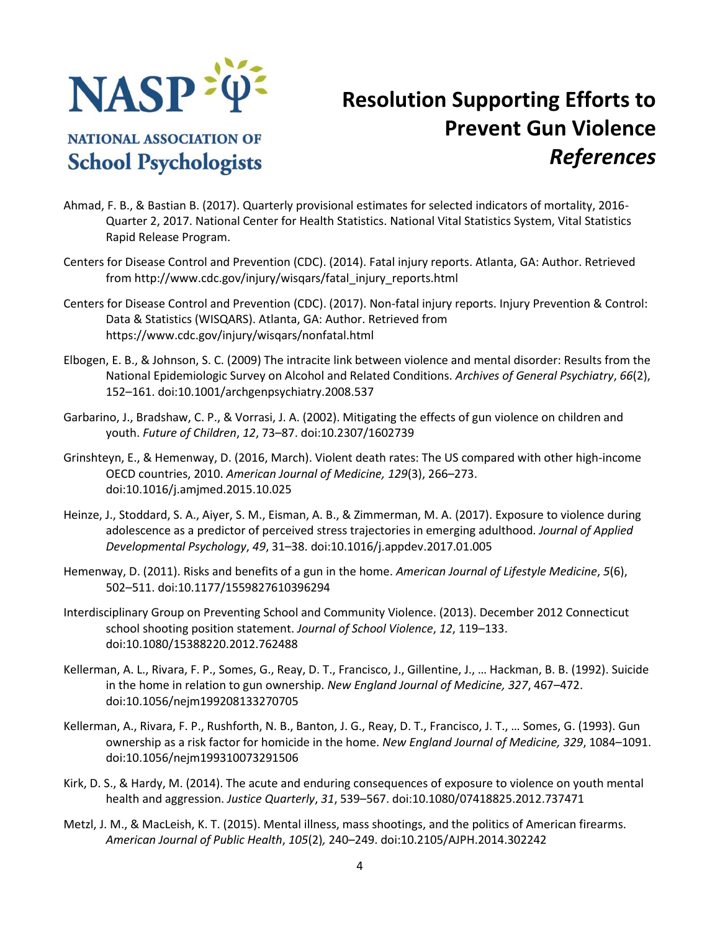

**NATIONAL ASSOCIATION OF** 

**School Psychologists** 

## **Resolution Supporting Efforts to Prevent Gun Violence** *References*

- Ahmad, F. B., & Bastian B. (2017). Quarterly provisional estimates for selected indicators of mortality, 2016- Quarter 2, 2017. National Center for Health Statistics. National Vital Statistics System, Vital Statistics Rapid Release Program.
- Centers for Disease Control and Prevention (CDC). (2014). Fatal injury reports. Atlanta, GA: Author. Retrieved from http://www.cdc.gov/injury/wisqars/fatal\_injury\_reports.html
- Centers for Disease Control and Prevention (CDC). (2017). Non-fatal injury reports. Injury Prevention & Control: Data & Statistics (WISQARS). Atlanta, GA: Author. Retrieved from https://www.cdc.gov/injury/wisqars/nonfatal.html
- Elbogen, E. B., & Johnson, S. C. (2009) The intracite link between violence and mental disorder: Results from the National Epidemiologic Survey on Alcohol and Related Conditions. *Archives of General Psychiatry*, *66*(2), 152–161. doi:10.1001/archgenpsychiatry.2008.537
- Garbarino, J., Bradshaw, C. P., & Vorrasi, J. A. (2002). Mitigating the effects of gun violence on children and youth. *Future of Children*, *12*, 73–87. doi:10.2307/1602739
- Grinshteyn, E., & Hemenway, D. (2016, March). Violent death rates: The US compared with other high-income OECD countries, 2010. *American Journal of Medicine, 129*(3), 266–273. doi:10.1016/j.amjmed.2015.10.025
- Heinze, J., Stoddard, S. A., Aiyer, S. M., Eisman, A. B., & Zimmerman, M. A. (2017). Exposure to violence during adolescence as a predictor of perceived stress trajectories in emerging adulthood. *Journal of Applied Developmental Psychology*, *49*, 31–38. doi:10.1016/j.appdev.2017.01.005
- Hemenway, D. (2011). Risks and benefits of a gun in the home. *American Journal of Lifestyle Medicine*, *5*(6), 502–511. doi:10.1177/1559827610396294
- Interdisciplinary Group on Preventing School and Community Violence. (2013). December 2012 Connecticut school shooting position statement. *Journal of School Violence*, *12*, 119–133. doi:10.1080/15388220.2012.762488
- Kellerman, A. L., Rivara, F. P., Somes, G., Reay, D. T., Francisco, J., Gillentine, J., … Hackman, B. B. (1992). Suicide in the home in relation to gun ownership. *New England Journal of Medicine, 327*, 467–472. doi:10.1056/nejm199208133270705
- Kellerman, A., Rivara, F. P., Rushforth, N. B., Banton, J. G., Reay, D. T., Francisco, J. T., … Somes, G. (1993). Gun ownership as a risk factor for homicide in the home. *New England Journal of Medicine, 329*, 1084–1091. doi:10.1056/nejm199310073291506
- Kirk, D. S., & Hardy, M. (2014). The acute and enduring consequences of exposure to violence on youth mental health and aggression. *Justice Quarterly*, *31*, 539–567. doi:10.1080/07418825.2012.737471
- Metzl, J. M., & MacLeish, K. T. (2015). Mental illness, mass shootings, and the politics of American firearms. *American Journal of Public Health*, *105*(2)*,* 240–249. doi:10.2105/AJPH.2014.302242